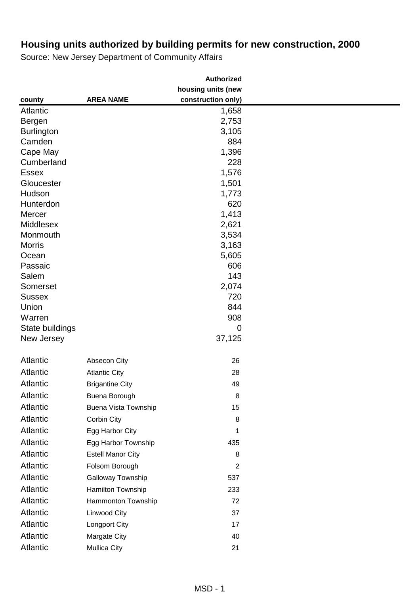|                           |                          | <b>Authorized</b>  |  |
|---------------------------|--------------------------|--------------------|--|
|                           |                          | housing units (new |  |
| county                    | <b>AREA NAME</b>         | construction only) |  |
| Atlantic                  |                          | 1,658              |  |
| Bergen                    |                          | 2,753              |  |
| <b>Burlington</b>         |                          | 3,105              |  |
| Camden                    |                          | 884                |  |
| Cape May                  |                          | 1,396              |  |
| Cumberland                |                          | 228                |  |
| <b>Essex</b>              |                          | 1,576              |  |
| Gloucester                |                          | 1,501              |  |
| Hudson                    |                          | 1,773              |  |
| Hunterdon                 |                          | 620                |  |
| Mercer                    |                          | 1,413              |  |
| Middlesex                 |                          | 2,621              |  |
| Monmouth<br><b>Morris</b> |                          | 3,534              |  |
|                           |                          | 3,163              |  |
| Ocean<br>Passaic          |                          | 5,605<br>606       |  |
| Salem                     |                          | 143                |  |
| Somerset                  |                          | 2,074              |  |
| <b>Sussex</b>             |                          | 720                |  |
| Union                     |                          | 844                |  |
| Warren                    |                          | 908                |  |
| State buildings           |                          | $\mathbf 0$        |  |
| New Jersey                |                          | 37,125             |  |
| Atlantic                  | Absecon City             | 26                 |  |
| Atlantic                  | <b>Atlantic City</b>     | 28                 |  |
| <b>Atlantic</b>           | <b>Brigantine City</b>   | 49                 |  |
| Atlantic                  | Buena Borough            | 8                  |  |
| <b>Atlantic</b>           | Buena Vista Township     | 15                 |  |
| <b>Atlantic</b>           | Corbin City              | 8                  |  |
| Atlantic                  | Egg Harbor City          | 1                  |  |
| Atlantic                  | Egg Harbor Township      | 435                |  |
| Atlantic                  | <b>Estell Manor City</b> | 8                  |  |
| <b>Atlantic</b>           | Folsom Borough           | $\overline{2}$     |  |
| <b>Atlantic</b>           | Galloway Township        | 537                |  |
| Atlantic                  | Hamilton Township        | 233                |  |
| Atlantic                  | Hammonton Township       | 72                 |  |
| <b>Atlantic</b>           | <b>Linwood City</b>      | 37                 |  |
| Atlantic                  | Longport City            | 17                 |  |
| Atlantic                  | Margate City             | 40                 |  |
| Atlantic                  | <b>Mullica City</b>      | 21                 |  |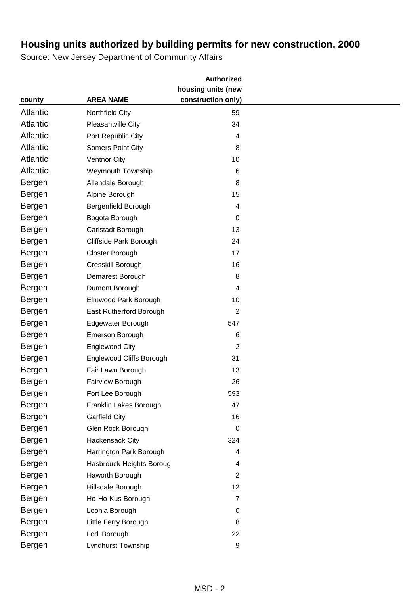|                 |                          | <b>Authorized</b>  |  |
|-----------------|--------------------------|--------------------|--|
|                 |                          | housing units (new |  |
| county          | <b>AREA NAME</b>         | construction only) |  |
| <b>Atlantic</b> | Northfield City          | 59                 |  |
| <b>Atlantic</b> | Pleasantville City       | 34                 |  |
| <b>Atlantic</b> | Port Republic City       | 4                  |  |
| <b>Atlantic</b> | <b>Somers Point City</b> | 8                  |  |
| <b>Atlantic</b> | <b>Ventnor City</b>      | 10                 |  |
| <b>Atlantic</b> | <b>Weymouth Township</b> | 6                  |  |
| Bergen          | Allendale Borough        | 8                  |  |
| Bergen          | Alpine Borough           | 15                 |  |
| Bergen          | Bergenfield Borough      | 4                  |  |
| Bergen          | Bogota Borough           | 0                  |  |
| Bergen          | Carlstadt Borough        | 13                 |  |
| Bergen          | Cliffside Park Borough   | 24                 |  |
| Bergen          | Closter Borough          | 17                 |  |
| Bergen          | Cresskill Borough        | 16                 |  |
| Bergen          | Demarest Borough         | 8                  |  |
| Bergen          | Dumont Borough           | 4                  |  |
| Bergen          | Elmwood Park Borough     | 10                 |  |
| Bergen          | East Rutherford Borough  | $\overline{2}$     |  |
| Bergen          | Edgewater Borough        | 547                |  |
| Bergen          | Emerson Borough          | 6                  |  |
| Bergen          | <b>Englewood City</b>    | $\overline{c}$     |  |
| Bergen          | Englewood Cliffs Borough | 31                 |  |
| Bergen          | Fair Lawn Borough        | 13                 |  |
| Bergen          | Fairview Borough         | 26                 |  |
| Bergen          | Fort Lee Borough         | 593                |  |
| Bergen          | Franklin Lakes Borough   | 47                 |  |
| Bergen          | <b>Garfield City</b>     | 16                 |  |
| Bergen          | Glen Rock Borough        | 0                  |  |
| Bergen          | Hackensack City          | 324                |  |
| Bergen          | Harrington Park Borough  | 4                  |  |
| Bergen          | Hasbrouck Heights Boroug | 4                  |  |
| Bergen          | Haworth Borough          | $\overline{2}$     |  |
| Bergen          | Hillsdale Borough        | 12                 |  |
| Bergen          | Ho-Ho-Kus Borough        | $\overline{7}$     |  |
| Bergen          | Leonia Borough           | $\pmb{0}$          |  |
| Bergen          | Little Ferry Borough     | 8                  |  |
| Bergen          | Lodi Borough             | 22                 |  |
| Bergen          | Lyndhurst Township       | 9                  |  |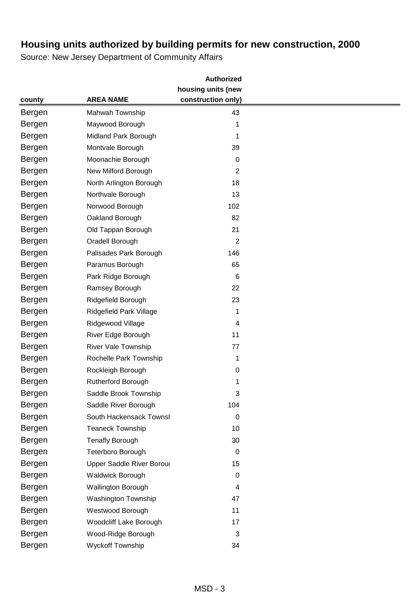|        |                               | <b>Authorized</b>  |  |
|--------|-------------------------------|--------------------|--|
|        |                               | housing units (new |  |
| county | <b>AREA NAME</b>              | construction only) |  |
| Bergen | Mahwah Township               | 43                 |  |
| Bergen | Maywood Borough               | 1                  |  |
| Bergen | Midland Park Borough          | 1                  |  |
| Bergen | Montvale Borough              | 39                 |  |
| Bergen | Moonachie Borough             | 0                  |  |
| Bergen | New Milford Borough           | $\overline{2}$     |  |
| Bergen | North Arlington Borough       | 18                 |  |
| Bergen | Northvale Borough             | 13                 |  |
| Bergen | Norwood Borough               | 102                |  |
| Bergen | Oakland Borough               | 82                 |  |
| Bergen | Old Tappan Borough            | 21                 |  |
| Bergen | Oradell Borough               | 2                  |  |
| Bergen | Palisades Park Borough        | 146                |  |
| Bergen | Paramus Borough               | 65                 |  |
| Bergen | Park Ridge Borough            | 6                  |  |
| Bergen | Ramsey Borough                | 22                 |  |
| Bergen | Ridgefield Borough            | 23                 |  |
| Bergen | Ridgefield Park Village       | 1                  |  |
| Bergen | Ridgewood Village             | 4                  |  |
| Bergen | River Edge Borough            | 11                 |  |
| Bergen | River Vale Township           | 77                 |  |
| Bergen | Rochelle Park Township        | 1                  |  |
| Bergen | Rockleigh Borough             | 0                  |  |
| Bergen | Rutherford Borough            | 1                  |  |
| Bergen | Saddle Brook Township         | 3                  |  |
| Bergen | Saddle River Borough          | 104                |  |
| Bergen | South Hackensack Townsl       | 0                  |  |
| Bergen | Teaneck Township              | 10                 |  |
| Bergen | <b>Tenafly Borough</b>        | 30                 |  |
| Bergen | Teterboro Borough             | 0                  |  |
| Bergen | Upper Saddle River Boroug     | 15                 |  |
| Bergen | Waldwick Borough              | 0                  |  |
| Bergen | <b>Wallington Borough</b>     | 4                  |  |
| Bergen | Washington Township           | 47                 |  |
| Bergen | Westwood Borough              | 11                 |  |
| Bergen | <b>Woodcliff Lake Borough</b> | 17                 |  |
| Bergen | Wood-Ridge Borough            | 3                  |  |
| Bergen | Wyckoff Township              | 34                 |  |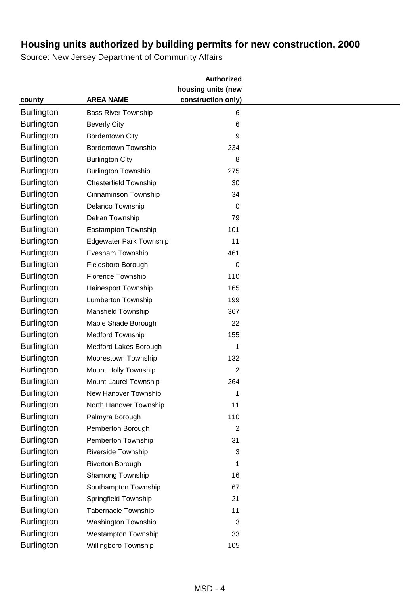|                   |                                | <b>Authorized</b>  |  |
|-------------------|--------------------------------|--------------------|--|
|                   |                                | housing units (new |  |
| county            | <b>AREA NAME</b>               | construction only) |  |
| <b>Burlington</b> | <b>Bass River Township</b>     | 6                  |  |
| <b>Burlington</b> | <b>Beverly City</b>            | $\,6$              |  |
| <b>Burlington</b> | <b>Bordentown City</b>         | 9                  |  |
| <b>Burlington</b> | <b>Bordentown Township</b>     | 234                |  |
| <b>Burlington</b> | <b>Burlington City</b>         | 8                  |  |
| <b>Burlington</b> | <b>Burlington Township</b>     | 275                |  |
| <b>Burlington</b> | <b>Chesterfield Township</b>   | 30                 |  |
| <b>Burlington</b> | Cinnaminson Township           | 34                 |  |
| <b>Burlington</b> | Delanco Township               | 0                  |  |
| <b>Burlington</b> | Delran Township                | 79                 |  |
| <b>Burlington</b> | Eastampton Township            | 101                |  |
| <b>Burlington</b> | <b>Edgewater Park Township</b> | 11                 |  |
| <b>Burlington</b> | Evesham Township               | 461                |  |
| <b>Burlington</b> | Fieldsboro Borough             | 0                  |  |
| <b>Burlington</b> | Florence Township              | 110                |  |
| <b>Burlington</b> | Hainesport Township            | 165                |  |
| <b>Burlington</b> | <b>Lumberton Township</b>      | 199                |  |
| Burlington        | Mansfield Township             | 367                |  |
| <b>Burlington</b> | Maple Shade Borough            | 22                 |  |
| <b>Burlington</b> | <b>Medford Township</b>        | 155                |  |
| <b>Burlington</b> | Medford Lakes Borough          | 1                  |  |
| <b>Burlington</b> | Moorestown Township            | 132                |  |
| <b>Burlington</b> | Mount Holly Township           | 2                  |  |
| <b>Burlington</b> | Mount Laurel Township          | 264                |  |
| <b>Burlington</b> | New Hanover Township           | 1                  |  |
| <b>Burlington</b> | North Hanover Township         | 11                 |  |
| <b>Burlington</b> | Palmyra Borough                | 110                |  |
| <b>Burlington</b> | Pemberton Borough              | $\overline{2}$     |  |
| <b>Burlington</b> | Pemberton Township             | 31                 |  |
| <b>Burlington</b> | Riverside Township             | 3                  |  |
| <b>Burlington</b> | Riverton Borough               | 1                  |  |
| <b>Burlington</b> | Shamong Township               | 16                 |  |
| <b>Burlington</b> | Southampton Township           | 67                 |  |
| <b>Burlington</b> | Springfield Township           | 21                 |  |
| <b>Burlington</b> | <b>Tabernacle Township</b>     | 11                 |  |
| <b>Burlington</b> | Washington Township            | 3                  |  |
| <b>Burlington</b> | <b>Westampton Township</b>     | 33                 |  |
| <b>Burlington</b> | Willingboro Township           | 105                |  |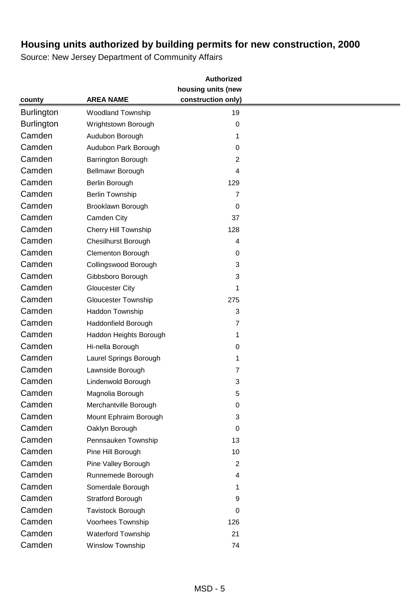|                   |                             | <b>Authorized</b>  |  |
|-------------------|-----------------------------|--------------------|--|
|                   |                             | housing units (new |  |
| county            | <b>AREA NAME</b>            | construction only) |  |
| <b>Burlington</b> | <b>Woodland Township</b>    | 19                 |  |
| <b>Burlington</b> | Wrightstown Borough         | 0                  |  |
| Camden            | Audubon Borough             | 1                  |  |
| Camden            | Audubon Park Borough        | 0                  |  |
| Camden            | Barrington Borough          | $\overline{2}$     |  |
| Camden            | Bellmawr Borough            | 4                  |  |
| Camden            | Berlin Borough              | 129                |  |
| Camden            | <b>Berlin Township</b>      | $\overline{7}$     |  |
| Camden            | Brooklawn Borough           | 0                  |  |
| Camden            | Camden City                 | 37                 |  |
| Camden            | <b>Cherry Hill Township</b> | 128                |  |
| Camden            | <b>Chesilhurst Borough</b>  | 4                  |  |
| Camden            | <b>Clementon Borough</b>    | 0                  |  |
| Camden            | Collingswood Borough        | 3                  |  |
| Camden            | Gibbsboro Borough           | 3                  |  |
| Camden            | <b>Gloucester City</b>      | 1                  |  |
| Camden            | <b>Gloucester Township</b>  | 275                |  |
| Camden            | Haddon Township             | $\sqrt{3}$         |  |
| Camden            | Haddonfield Borough         | $\overline{7}$     |  |
| Camden            | Haddon Heights Borough      | 1                  |  |
| Camden            | Hi-nella Borough            | 0                  |  |
| Camden            | Laurel Springs Borough      | 1                  |  |
| Camden            | Lawnside Borough            | $\overline{7}$     |  |
| Camden            | Lindenwold Borough          | 3                  |  |
| Camden            | Magnolia Borough            | 5                  |  |
| Camden            | Merchantville Borough       | 0                  |  |
| Camden            | Mount Ephraim Borough       | 3                  |  |
| Camden            | Oaklyn Borough              | 0                  |  |
| Camden            | Pennsauken Township         | 13                 |  |
| Camden            | Pine Hill Borough           | 10                 |  |
| Camden            | Pine Valley Borough         | $\boldsymbol{2}$   |  |
| Camden            | Runnemede Borough           | 4                  |  |
| Camden            | Somerdale Borough           | 1                  |  |
| Camden            | <b>Stratford Borough</b>    | 9                  |  |
| Camden            | Tavistock Borough           | 0                  |  |
| Camden            | Voorhees Township           | 126                |  |
| Camden            | <b>Waterford Township</b>   | 21                 |  |
| Camden            | Winslow Township            | 74                 |  |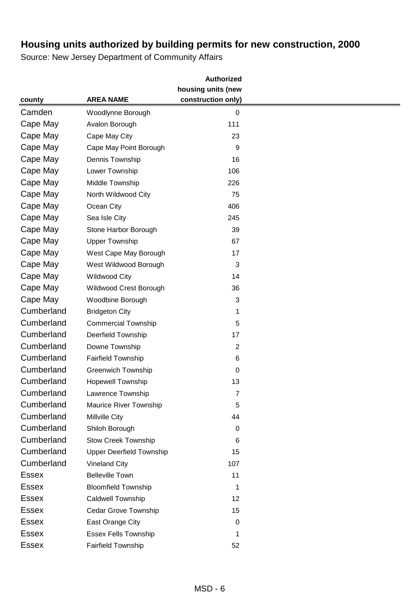|              |                                 | <b>Authorized</b>  |  |
|--------------|---------------------------------|--------------------|--|
|              |                                 | housing units (new |  |
| county       | <b>AREA NAME</b>                | construction only) |  |
| Camden       | Woodlynne Borough               | $\mathbf 0$        |  |
| Cape May     | Avalon Borough                  | 111                |  |
| Cape May     | Cape May City                   | 23                 |  |
| Cape May     | Cape May Point Borough          | 9                  |  |
| Cape May     | Dennis Township                 | 16                 |  |
| Cape May     | Lower Township                  | 106                |  |
| Cape May     | Middle Township                 | 226                |  |
| Cape May     | North Wildwood City             | 75                 |  |
| Cape May     | Ocean City                      | 406                |  |
| Cape May     | Sea Isle City                   | 245                |  |
| Cape May     | Stone Harbor Borough            | 39                 |  |
| Cape May     | <b>Upper Township</b>           | 67                 |  |
| Cape May     | West Cape May Borough           | 17                 |  |
| Cape May     | West Wildwood Borough           | 3                  |  |
| Cape May     | <b>Wildwood City</b>            | 14                 |  |
| Cape May     | Wildwood Crest Borough          | 36                 |  |
| Cape May     | Woodbine Borough                | 3                  |  |
| Cumberland   | <b>Bridgeton City</b>           | 1                  |  |
| Cumberland   | <b>Commercial Township</b>      | 5                  |  |
| Cumberland   | Deerfield Township              | 17                 |  |
| Cumberland   | Downe Township                  | $\overline{2}$     |  |
| Cumberland   | <b>Fairfield Township</b>       | 6                  |  |
| Cumberland   | <b>Greenwich Township</b>       | $\boldsymbol{0}$   |  |
| Cumberland   | <b>Hopewell Township</b>        | 13                 |  |
| Cumberland   | Lawrence Township               | 7                  |  |
| Cumberland   | Maurice River Township          | 5                  |  |
| Cumberland   | Millville City                  | 44                 |  |
| Cumberland   | Shiloh Borough                  | 0                  |  |
| Cumberland   | <b>Stow Creek Township</b>      | 6                  |  |
| Cumberland   | <b>Upper Deerfield Township</b> | 15                 |  |
| Cumberland   | <b>Vineland City</b>            | 107                |  |
| <b>Essex</b> | <b>Belleville Town</b>          | 11                 |  |
| <b>Essex</b> | <b>Bloomfield Township</b>      | 1                  |  |
| <b>Essex</b> | Caldwell Township               | 12                 |  |
| <b>Essex</b> | <b>Cedar Grove Township</b>     | 15                 |  |
| <b>Essex</b> | East Orange City                | 0                  |  |
| <b>Essex</b> | <b>Essex Fells Township</b>     | 1                  |  |
| <b>Essex</b> | <b>Fairfield Township</b>       | 52                 |  |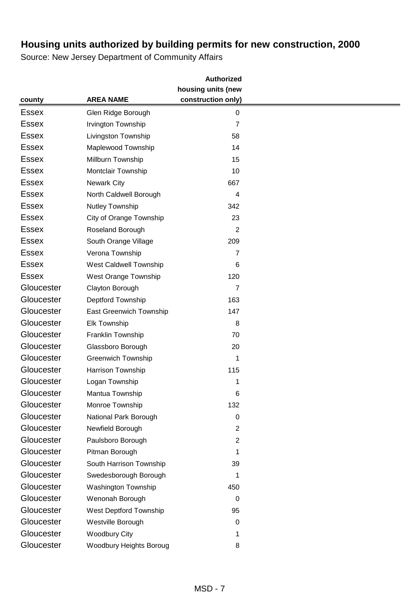|              |                           | <b>Authorized</b>  |  |
|--------------|---------------------------|--------------------|--|
|              |                           | housing units (new |  |
| county       | <b>AREA NAME</b>          | construction only) |  |
| <b>Essex</b> | Glen Ridge Borough        | 0                  |  |
| <b>Essex</b> | Irvington Township        | $\overline{7}$     |  |
| <b>Essex</b> | Livingston Township       | 58                 |  |
| <b>Essex</b> | Maplewood Township        | 14                 |  |
| <b>Essex</b> | Millburn Township         | 15                 |  |
| <b>Essex</b> | Montclair Township        | 10                 |  |
| <b>Essex</b> | <b>Newark City</b>        | 667                |  |
| <b>Essex</b> | North Caldwell Borough    | 4                  |  |
| <b>Essex</b> | Nutley Township           | 342                |  |
| <b>Essex</b> | City of Orange Township   | 23                 |  |
| <b>Essex</b> | Roseland Borough          | 2                  |  |
| <b>Essex</b> | South Orange Village      | 209                |  |
| <b>Essex</b> | Verona Township           | 7                  |  |
| <b>Essex</b> | West Caldwell Township    | 6                  |  |
| <b>Essex</b> | West Orange Township      | 120                |  |
| Gloucester   | Clayton Borough           | 7                  |  |
| Gloucester   | Deptford Township         | 163                |  |
| Gloucester   | East Greenwich Township   | 147                |  |
| Gloucester   | <b>Elk Township</b>       | 8                  |  |
| Gloucester   | Franklin Township         | 70                 |  |
| Gloucester   | Glassboro Borough         | 20                 |  |
| Gloucester   | <b>Greenwich Township</b> | 1                  |  |
| Gloucester   | Harrison Township         | 115                |  |
| Gloucester   | Logan Township            | 1                  |  |
| Gloucester   | Mantua Township           | 6                  |  |
| Gloucester   | Monroe Township           | 132                |  |
| Gloucester   | National Park Borough     | 0                  |  |
| Gloucester   | Newfield Borough          | 2                  |  |
| Gloucester   | Paulsboro Borough         | $\overline{c}$     |  |
| Gloucester   | Pitman Borough            | 1                  |  |
| Gloucester   | South Harrison Township   | 39                 |  |
| Gloucester   | Swedesborough Borough     | 1                  |  |
| Gloucester   | Washington Township       | 450                |  |
| Gloucester   | Wenonah Borough           | 0                  |  |
| Gloucester   | West Deptford Township    | 95                 |  |
| Gloucester   | Westville Borough         | 0                  |  |
| Gloucester   | <b>Woodbury City</b>      | 1                  |  |
| Gloucester   | Woodbury Heights Boroug   | 8                  |  |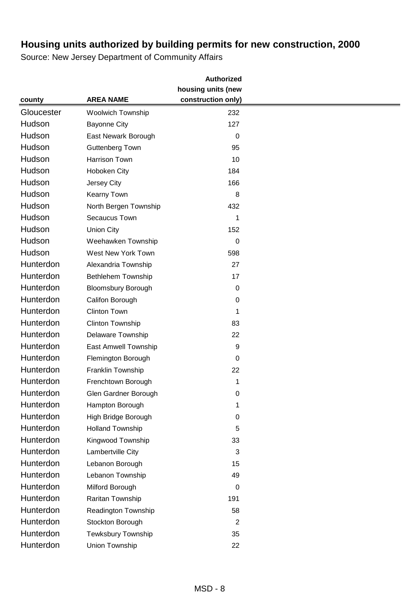|            |                           | <b>Authorized</b>  |  |
|------------|---------------------------|--------------------|--|
|            |                           | housing units (new |  |
| county     | <b>AREA NAME</b>          | construction only) |  |
| Gloucester | <b>Woolwich Township</b>  | 232                |  |
| Hudson     | <b>Bayonne City</b>       | 127                |  |
| Hudson     | East Newark Borough       | $\mathbf 0$        |  |
| Hudson     | <b>Guttenberg Town</b>    | 95                 |  |
| Hudson     | <b>Harrison Town</b>      | 10                 |  |
| Hudson     | Hoboken City              | 184                |  |
| Hudson     | Jersey City               | 166                |  |
| Hudson     | <b>Kearny Town</b>        | 8                  |  |
| Hudson     | North Bergen Township     | 432                |  |
| Hudson     | Secaucus Town             | 1                  |  |
| Hudson     | <b>Union City</b>         | 152                |  |
| Hudson     | Weehawken Township        | 0                  |  |
| Hudson     | West New York Town        | 598                |  |
| Hunterdon  | Alexandria Township       | 27                 |  |
| Hunterdon  | <b>Bethlehem Township</b> | 17                 |  |
| Hunterdon  | <b>Bloomsbury Borough</b> | 0                  |  |
| Hunterdon  | Califon Borough           | 0                  |  |
| Hunterdon  | <b>Clinton Town</b>       | 1                  |  |
| Hunterdon  | Clinton Township          | 83                 |  |
| Hunterdon  | Delaware Township         | 22                 |  |
| Hunterdon  | East Amwell Township      | 9                  |  |
| Hunterdon  | Flemington Borough        | $\boldsymbol{0}$   |  |
| Hunterdon  | Franklin Township         | 22                 |  |
| Hunterdon  | Frenchtown Borough        | 1                  |  |
| Hunterdon  | Glen Gardner Borough      | 0                  |  |
| Hunterdon  | Hampton Borough           | 1                  |  |
| Hunterdon  | High Bridge Borough       | 0                  |  |
| Hunterdon  | <b>Holland Township</b>   | 5                  |  |
| Hunterdon  | Kingwood Township         | 33                 |  |
| Hunterdon  | Lambertville City         | 3                  |  |
| Hunterdon  | Lebanon Borough           | 15                 |  |
| Hunterdon  | Lebanon Township          | 49                 |  |
| Hunterdon  | Milford Borough           | 0                  |  |
| Hunterdon  | Raritan Township          | 191                |  |
| Hunterdon  | Readington Township       | 58                 |  |
| Hunterdon  | Stockton Borough          | $\overline{2}$     |  |
| Hunterdon  | Tewksbury Township        | 35                 |  |
| Hunterdon  | Union Township            | 22                 |  |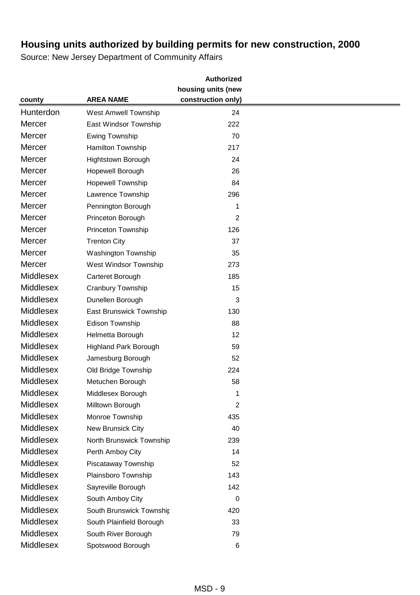|                  |                              | <b>Authorized</b>  |  |
|------------------|------------------------------|--------------------|--|
|                  |                              | housing units (new |  |
| county           | <b>AREA NAME</b>             | construction only) |  |
| Hunterdon        | <b>West Amwell Township</b>  | 24                 |  |
| Mercer           | East Windsor Township        | 222                |  |
| Mercer           | Ewing Township               | 70                 |  |
| Mercer           | Hamilton Township            | 217                |  |
| Mercer           | Hightstown Borough           | 24                 |  |
| Mercer           | Hopewell Borough             | 26                 |  |
| Mercer           | <b>Hopewell Township</b>     | 84                 |  |
| Mercer           | Lawrence Township            | 296                |  |
| <b>Mercer</b>    | Pennington Borough           | 1                  |  |
| Mercer           | Princeton Borough            | $\overline{2}$     |  |
| Mercer           | Princeton Township           | 126                |  |
| Mercer           | <b>Trenton City</b>          | 37                 |  |
| Mercer           | Washington Township          | 35                 |  |
| Mercer           | West Windsor Township        | 273                |  |
| Middlesex        | Carteret Borough             | 185                |  |
| <b>Middlesex</b> | Cranbury Township            | 15                 |  |
| <b>Middlesex</b> | Dunellen Borough             | 3                  |  |
| Middlesex        | East Brunswick Township      | 130                |  |
| <b>Middlesex</b> | Edison Township              | 88                 |  |
| Middlesex        | Helmetta Borough             | 12                 |  |
| <b>Middlesex</b> | <b>Highland Park Borough</b> | 59                 |  |
| <b>Middlesex</b> | Jamesburg Borough            | 52                 |  |
| Middlesex        | Old Bridge Township          | 224                |  |
| Middlesex        | Metuchen Borough             | 58                 |  |
| Middlesex        | Middlesex Borough            | 1                  |  |
| <b>Middlesex</b> | Milltown Borough             | 2                  |  |
| <b>Middlesex</b> | Monroe Township              | 435                |  |
| Middlesex        | New Brunsick City            | 40                 |  |
| <b>Middlesex</b> | North Brunswick Township     | 239                |  |
| <b>Middlesex</b> | Perth Amboy City             | 14                 |  |
| Middlesex        | Piscataway Township          | 52                 |  |
| Middlesex        | Plainsboro Township          | 143                |  |
| Middlesex        | Sayreville Borough           | 142                |  |
| <b>Middlesex</b> | South Amboy City             | 0                  |  |
| <b>Middlesex</b> | South Brunswick Township     | 420                |  |
| <b>Middlesex</b> | South Plainfield Borough     | 33                 |  |
| Middlesex        | South River Borough          | 79                 |  |
| <b>Middlesex</b> | Spotswood Borough            | 6                  |  |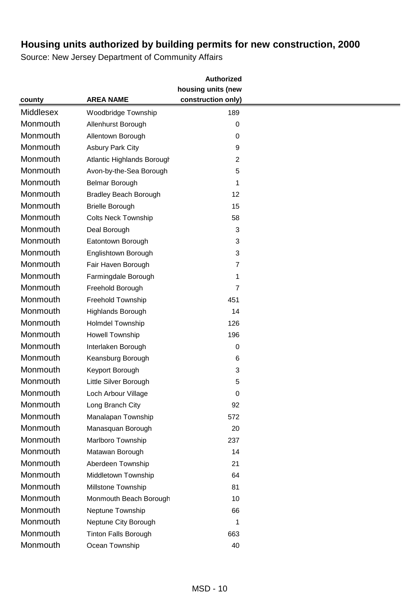|                  |                                   | <b>Authorized</b>  |  |
|------------------|-----------------------------------|--------------------|--|
|                  |                                   | housing units (new |  |
| county           | <b>AREA NAME</b>                  | construction only) |  |
| <b>Middlesex</b> | <b>Woodbridge Township</b>        | 189                |  |
| Monmouth         | Allenhurst Borough                | $\mathbf 0$        |  |
| Monmouth         | Allentown Borough                 | 0                  |  |
| Monmouth         | <b>Asbury Park City</b>           | 9                  |  |
| Monmouth         | <b>Atlantic Highlands Borough</b> | 2                  |  |
| Monmouth         | Avon-by-the-Sea Borough           | 5                  |  |
| Monmouth         | Belmar Borough                    | 1                  |  |
| Monmouth         | <b>Bradley Beach Borough</b>      | 12                 |  |
| Monmouth         | <b>Brielle Borough</b>            | 15                 |  |
| Monmouth         | <b>Colts Neck Township</b>        | 58                 |  |
| Monmouth         | Deal Borough                      | 3                  |  |
| Monmouth         | Eatontown Borough                 | 3                  |  |
| Monmouth         | Englishtown Borough               | 3                  |  |
| Monmouth         | Fair Haven Borough                | 7                  |  |
| Monmouth         | Farmingdale Borough               | 1                  |  |
| Monmouth         | Freehold Borough                  | 7                  |  |
| Monmouth         | Freehold Township                 | 451                |  |
| Monmouth         | Highlands Borough                 | 14                 |  |
| Monmouth         | Holmdel Township                  | 126                |  |
| Monmouth         | Howell Township                   | 196                |  |
| Monmouth         | Interlaken Borough                | $\mathbf 0$        |  |
| Monmouth         | Keansburg Borough                 | $\,6$              |  |
| Monmouth         | Keyport Borough                   | 3                  |  |
| Monmouth         | Little Silver Borough             | 5                  |  |
| Monmouth         | Loch Arbour Village               | 0                  |  |
| Monmouth         | Long Branch City                  | 92                 |  |
| Monmouth         | Manalapan Township                | 572                |  |
| Monmouth         | Manasquan Borough                 | 20                 |  |
| Monmouth         | Marlboro Township                 | 237                |  |
| Monmouth         | Matawan Borough                   | 14                 |  |
| Monmouth         | Aberdeen Township                 | 21                 |  |
| Monmouth         | Middletown Township               | 64                 |  |
| Monmouth         | Millstone Township                | 81                 |  |
| Monmouth         | Monmouth Beach Borough            | 10                 |  |
| Monmouth         | Neptune Township                  | 66                 |  |
| Monmouth         | Neptune City Borough              | 1                  |  |
| Monmouth         | <b>Tinton Falls Borough</b>       | 663                |  |
| Monmouth         | Ocean Township                    | 40                 |  |
|                  |                                   |                    |  |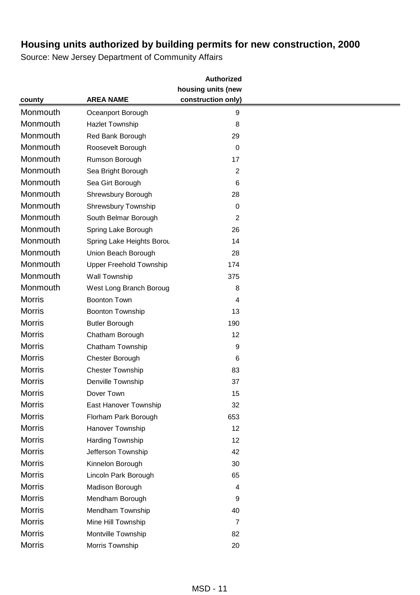|               |                                | <b>Authorized</b>  |  |
|---------------|--------------------------------|--------------------|--|
|               |                                | housing units (new |  |
| county        | <b>AREA NAME</b>               | construction only) |  |
| Monmouth      | Oceanport Borough              | 9                  |  |
| Monmouth      | <b>Hazlet Township</b>         | 8                  |  |
| Monmouth      | Red Bank Borough               | 29                 |  |
| Monmouth      | Roosevelt Borough              | 0                  |  |
| Monmouth      | Rumson Borough                 | 17                 |  |
| Monmouth      | Sea Bright Borough             | $\boldsymbol{2}$   |  |
| Monmouth      | Sea Girt Borough               | 6                  |  |
| Monmouth      | Shrewsbury Borough             | 28                 |  |
| Monmouth      | Shrewsbury Township            | 0                  |  |
| Monmouth      | South Belmar Borough           | $\overline{2}$     |  |
| Monmouth      | Spring Lake Borough            | 26                 |  |
| Monmouth      | Spring Lake Heights Borou      | 14                 |  |
| Monmouth      | Union Beach Borough            | 28                 |  |
| Monmouth      | <b>Upper Freehold Township</b> | 174                |  |
| Monmouth      | Wall Township                  | 375                |  |
| Monmouth      | West Long Branch Boroug        | 8                  |  |
| <b>Morris</b> | <b>Boonton Town</b>            | 4                  |  |
| <b>Morris</b> | <b>Boonton Township</b>        | 13                 |  |
| <b>Morris</b> | <b>Butler Borough</b>          | 190                |  |
| <b>Morris</b> | Chatham Borough                | 12                 |  |
| <b>Morris</b> | Chatham Township               | 9                  |  |
| <b>Morris</b> | Chester Borough                | 6                  |  |
| <b>Morris</b> | <b>Chester Township</b>        | 83                 |  |
| <b>Morris</b> | Denville Township              | 37                 |  |
| <b>Morris</b> | Dover Town                     | 15                 |  |
| <b>Morris</b> | East Hanover Township          | 32                 |  |
| <b>Morris</b> | Florham Park Borough           | 653                |  |
| <b>Morris</b> | Hanover Township               | 12                 |  |
| <b>Morris</b> | Harding Township               | 12                 |  |
| <b>Morris</b> | Jefferson Township             | 42                 |  |
| <b>Morris</b> | Kinnelon Borough               | 30                 |  |
| <b>Morris</b> | Lincoln Park Borough           | 65                 |  |
| <b>Morris</b> | Madison Borough                | 4                  |  |
| <b>Morris</b> | Mendham Borough                | 9                  |  |
| <b>Morris</b> | Mendham Township               | 40                 |  |
| <b>Morris</b> | Mine Hill Township             | 7                  |  |
| <b>Morris</b> | Montville Township             | 82                 |  |
| <b>Morris</b> | Morris Township                | 20                 |  |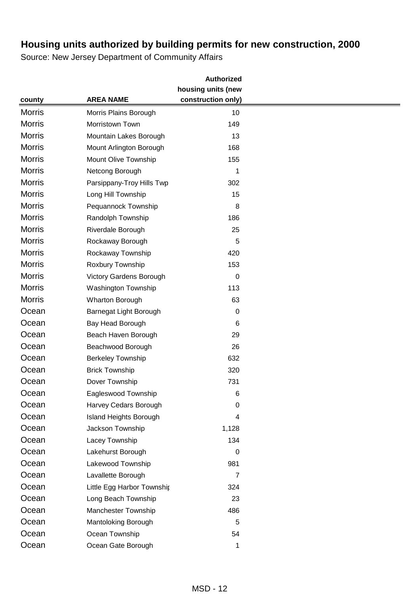|               |                               | <b>Authorized</b>  |  |
|---------------|-------------------------------|--------------------|--|
|               |                               | housing units (new |  |
| county        | <b>AREA NAME</b>              | construction only) |  |
| <b>Morris</b> | Morris Plains Borough         | 10                 |  |
| <b>Morris</b> | Morristown Town               | 149                |  |
| <b>Morris</b> | Mountain Lakes Borough        | 13                 |  |
| <b>Morris</b> | Mount Arlington Borough       | 168                |  |
| <b>Morris</b> | Mount Olive Township          | 155                |  |
| <b>Morris</b> | Netcong Borough               | 1                  |  |
| <b>Morris</b> | Parsippany-Troy Hills Twp     | 302                |  |
| <b>Morris</b> | Long Hill Township            | 15                 |  |
| <b>Morris</b> | Pequannock Township           | 8                  |  |
| <b>Morris</b> | Randolph Township             | 186                |  |
| <b>Morris</b> | Riverdale Borough             | 25                 |  |
| <b>Morris</b> | Rockaway Borough              | 5                  |  |
| <b>Morris</b> | Rockaway Township             | 420                |  |
| <b>Morris</b> | Roxbury Township              | 153                |  |
| <b>Morris</b> | Victory Gardens Borough       | $\mathbf 0$        |  |
| <b>Morris</b> | Washington Township           | 113                |  |
| <b>Morris</b> | Wharton Borough               | 63                 |  |
| Ocean         | Barnegat Light Borough        | 0                  |  |
| Ocean         | Bay Head Borough              | 6                  |  |
| Ocean         | Beach Haven Borough           | 29                 |  |
| Ocean         | Beachwood Borough             | 26                 |  |
| Ocean         | <b>Berkeley Township</b>      | 632                |  |
| Ocean         | <b>Brick Township</b>         | 320                |  |
| Ocean         | Dover Township                | 731                |  |
| Ocean         | Eagleswood Township           | 6                  |  |
| Ocean         | Harvey Cedars Borough         | 0                  |  |
| Ocean         | <b>Island Heights Borough</b> | 4                  |  |
| Ocean         | Jackson Township              | 1,128              |  |
| Ocean         | Lacey Township                | 134                |  |
| Ocean         | Lakehurst Borough             | 0                  |  |
| Ocean         | Lakewood Township             | 981                |  |
| Ocean         | Lavallette Borough            | $\overline{7}$     |  |
| Ocean         | Little Egg Harbor Townshir    | 324                |  |
| Ocean         | Long Beach Township           | 23                 |  |
| Ocean         | Manchester Township           | 486                |  |
| Ocean         | Mantoloking Borough           | 5                  |  |
| Ocean         | Ocean Township                | 54                 |  |
| Ocean         | Ocean Gate Borough            | 1                  |  |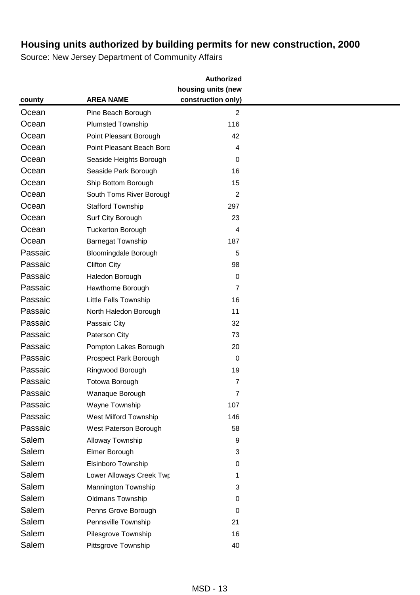|                                |                              | <b>Authorized</b>  |  |
|--------------------------------|------------------------------|--------------------|--|
|                                |                              | housing units (new |  |
| county                         | <b>AREA NAME</b>             | construction only) |  |
| Ocean                          | Pine Beach Borough           | $\overline{2}$     |  |
| Ocean                          | <b>Plumsted Township</b>     | 116                |  |
| Ocean                          | Point Pleasant Borough       | 42                 |  |
| Ocean                          | Point Pleasant Beach Boro    | 4                  |  |
| Ocean                          | Seaside Heights Borough      | 0                  |  |
| Ocean                          | Seaside Park Borough         | 16                 |  |
| Ocean                          | Ship Bottom Borough          | 15                 |  |
| Ocean                          | South Toms River Borougl     | $\overline{2}$     |  |
| Ocean                          | <b>Stafford Township</b>     | 297                |  |
| Ocean                          | Surf City Borough            | 23                 |  |
| Ocean                          | <b>Tuckerton Borough</b>     | 4                  |  |
| Ocean                          | <b>Barnegat Township</b>     | 187                |  |
| Passaic                        | <b>Bloomingdale Borough</b>  | 5                  |  |
| Passaic<br><b>Clifton City</b> |                              | 98                 |  |
| Passaic                        | Haledon Borough              | 0                  |  |
| Passaic                        | Hawthorne Borough            | 7                  |  |
| Passaic                        | Little Falls Township        | 16                 |  |
| Passaic                        | North Haledon Borough        | 11                 |  |
| Passaic                        | Passaic City                 | 32                 |  |
| Passaic                        | Paterson City                | 73                 |  |
| Passaic                        | Pompton Lakes Borough        | 20                 |  |
| Passaic                        | Prospect Park Borough        | $\pmb{0}$          |  |
| Passaic                        | Ringwood Borough             | 19                 |  |
| Passaic                        | Totowa Borough               | $\overline{7}$     |  |
| Passaic                        | Wanaque Borough              | 7                  |  |
| Passaic                        | Wayne Township               | 107                |  |
| Passaic                        | <b>West Milford Township</b> | 146                |  |
| Passaic                        | West Paterson Borough        | 58                 |  |
| Salem                          | Alloway Township             | 9                  |  |
| Salem                          | Elmer Borough                | 3                  |  |
| Salem                          | Elsinboro Township           | 0                  |  |
| Salem                          | Lower Alloways Creek Twp     | 1                  |  |
| Salem                          | Mannington Township          | 3                  |  |
| Salem                          | <b>Oldmans Township</b>      | 0                  |  |
| Salem                          | Penns Grove Borough          | 0                  |  |
| Salem                          | Pennsville Township          | 21                 |  |
| Salem                          | Pilesgrove Township          | 16                 |  |
| Salem                          | Pittsgrove Township          | 40                 |  |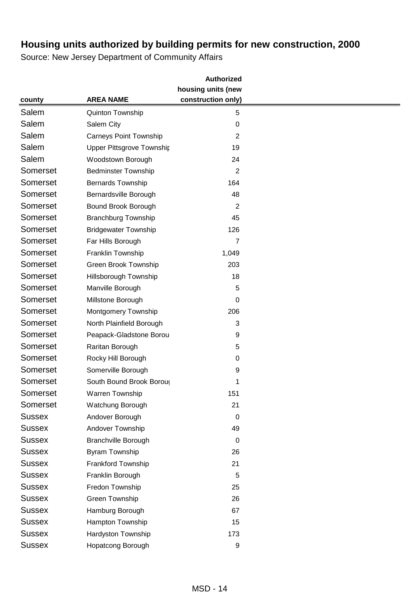|               |                               | <b>Authorized</b>  |  |
|---------------|-------------------------------|--------------------|--|
|               |                               | housing units (new |  |
| county        | <b>AREA NAME</b>              | construction only) |  |
| Salem         | Quinton Township              | 5                  |  |
| Salem         | Salem City                    | 0                  |  |
| Salem         | <b>Carneys Point Township</b> | 2                  |  |
| Salem         | Upper Pittsgrove Township     | 19                 |  |
| Salem         | Woodstown Borough             | 24                 |  |
| Somerset      | <b>Bedminster Township</b>    | $\overline{2}$     |  |
| Somerset      | <b>Bernards Township</b>      | 164                |  |
| Somerset      | Bernardsville Borough         | 48                 |  |
| Somerset      | Bound Brook Borough           | 2                  |  |
| Somerset      | <b>Branchburg Township</b>    | 45                 |  |
| Somerset      | <b>Bridgewater Township</b>   | 126                |  |
| Somerset      | Far Hills Borough             | 7                  |  |
| Somerset      | Franklin Township             | 1,049              |  |
| Somerset      | Green Brook Township          | 203                |  |
| Somerset      | Hillsborough Township         | 18                 |  |
| Somerset      | Manville Borough              | 5                  |  |
| Somerset      | Millstone Borough             | 0                  |  |
| Somerset      | Montgomery Township           | 206                |  |
| Somerset      | North Plainfield Borough      | 3                  |  |
| Somerset      | Peapack-Gladstone Borou       | 9                  |  |
| Somerset      | Raritan Borough               | 5                  |  |
| Somerset      | Rocky Hill Borough            | 0                  |  |
| Somerset      | Somerville Borough            | 9                  |  |
| Somerset      | South Bound Brook Boroug      | 1                  |  |
| Somerset      | Warren Township               | 151                |  |
| Somerset      | Watchung Borough              | 21                 |  |
| <b>Sussex</b> | Andover Borough               | $\mathbf 0$        |  |
| <b>Sussex</b> | Andover Township              | 49                 |  |
| <b>Sussex</b> | <b>Branchville Borough</b>    | 0                  |  |
| <b>Sussex</b> | <b>Byram Township</b>         | 26                 |  |
| <b>Sussex</b> | Frankford Township            | 21                 |  |
| <b>Sussex</b> | Franklin Borough              | 5                  |  |
| <b>Sussex</b> | Fredon Township               | 25                 |  |
| <b>Sussex</b> | Green Township                | 26                 |  |
| <b>Sussex</b> | Hamburg Borough               | 67                 |  |
| <b>Sussex</b> | Hampton Township              | 15                 |  |
| <b>Sussex</b> | Hardyston Township            | 173                |  |
| <b>Sussex</b> | Hopatcong Borough             | 9                  |  |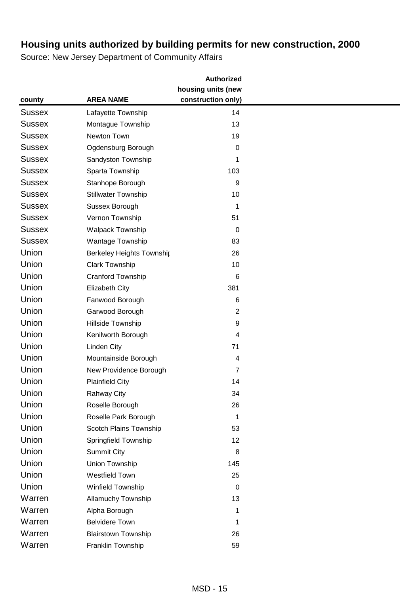| housing units (new<br>construction only)<br><b>AREA NAME</b><br>county<br><b>Sussex</b><br>Lafayette Township<br>14<br><b>Sussex</b><br>Montague Township<br>13<br><b>Sussex</b><br>Newton Town<br>19<br><b>Sussex</b><br>Ogdensburg Borough<br>0<br><b>Sussex</b><br>Sandyston Township<br>1<br><b>Sussex</b><br>Sparta Township<br>103<br><b>Sussex</b><br>Stanhope Borough<br>9 |
|------------------------------------------------------------------------------------------------------------------------------------------------------------------------------------------------------------------------------------------------------------------------------------------------------------------------------------------------------------------------------------|
|                                                                                                                                                                                                                                                                                                                                                                                    |
|                                                                                                                                                                                                                                                                                                                                                                                    |
|                                                                                                                                                                                                                                                                                                                                                                                    |
|                                                                                                                                                                                                                                                                                                                                                                                    |
|                                                                                                                                                                                                                                                                                                                                                                                    |
|                                                                                                                                                                                                                                                                                                                                                                                    |
|                                                                                                                                                                                                                                                                                                                                                                                    |
|                                                                                                                                                                                                                                                                                                                                                                                    |
|                                                                                                                                                                                                                                                                                                                                                                                    |
| <b>Sussex</b><br><b>Stillwater Township</b><br>10                                                                                                                                                                                                                                                                                                                                  |
| <b>Sussex</b><br>Sussex Borough<br>1                                                                                                                                                                                                                                                                                                                                               |
| <b>Sussex</b><br>Vernon Township<br>51                                                                                                                                                                                                                                                                                                                                             |
| <b>Sussex</b><br><b>Walpack Township</b><br>0                                                                                                                                                                                                                                                                                                                                      |
| <b>Sussex</b><br>Wantage Township<br>83                                                                                                                                                                                                                                                                                                                                            |
| Union<br><b>Berkeley Heights Township</b><br>26                                                                                                                                                                                                                                                                                                                                    |
| Union<br>Clark Township<br>10                                                                                                                                                                                                                                                                                                                                                      |
| Union<br>Cranford Township<br>6                                                                                                                                                                                                                                                                                                                                                    |
| Union<br>Elizabeth City<br>381                                                                                                                                                                                                                                                                                                                                                     |
| Union<br>Fanwood Borough<br>6                                                                                                                                                                                                                                                                                                                                                      |
| Union<br>Garwood Borough<br>$\overline{\mathbf{c}}$                                                                                                                                                                                                                                                                                                                                |
| Union<br>Hillside Township<br>9                                                                                                                                                                                                                                                                                                                                                    |
| Union<br>Kenilworth Borough<br>4                                                                                                                                                                                                                                                                                                                                                   |
| Union<br>Linden City<br>71                                                                                                                                                                                                                                                                                                                                                         |
| Union<br>Mountainside Borough<br>4                                                                                                                                                                                                                                                                                                                                                 |
| Union<br>New Providence Borough<br>7                                                                                                                                                                                                                                                                                                                                               |
| Union<br><b>Plainfield City</b><br>14                                                                                                                                                                                                                                                                                                                                              |
| Union<br><b>Rahway City</b><br>34                                                                                                                                                                                                                                                                                                                                                  |
| Union<br>Roselle Borough<br>26                                                                                                                                                                                                                                                                                                                                                     |
| Union<br>Roselle Park Borough<br>1                                                                                                                                                                                                                                                                                                                                                 |
| Union<br>Scotch Plains Township<br>53                                                                                                                                                                                                                                                                                                                                              |
| Union<br>Springfield Township<br>12                                                                                                                                                                                                                                                                                                                                                |
| Union<br><b>Summit City</b><br>8                                                                                                                                                                                                                                                                                                                                                   |
| Union<br>Union Township<br>145                                                                                                                                                                                                                                                                                                                                                     |
| Union<br><b>Westfield Town</b><br>25                                                                                                                                                                                                                                                                                                                                               |
| Union<br>Winfield Township<br>$\boldsymbol{0}$                                                                                                                                                                                                                                                                                                                                     |
| Warren<br>Allamuchy Township<br>13                                                                                                                                                                                                                                                                                                                                                 |
| Warren<br>Alpha Borough<br>1                                                                                                                                                                                                                                                                                                                                                       |
| Warren<br><b>Belvidere Town</b><br>1                                                                                                                                                                                                                                                                                                                                               |
| Warren<br><b>Blairstown Township</b><br>26                                                                                                                                                                                                                                                                                                                                         |
| Warren<br>Franklin Township<br>59                                                                                                                                                                                                                                                                                                                                                  |